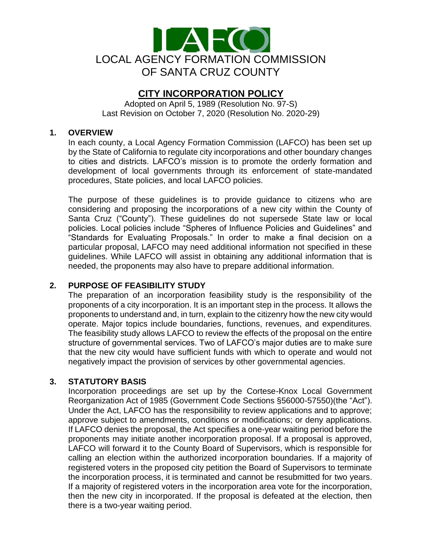

# **CITY INCORPORATION POLICY**

Adopted on April 5, 1989 (Resolution No. 97-S) Last Revision on October 7, 2020 (Resolution No. 2020-29)

#### **1. OVERVIEW**

In each county, a Local Agency Formation Commission (LAFCO) has been set up by the State of California to regulate city incorporations and other boundary changes to cities and districts. LAFCO's mission is to promote the orderly formation and development of local governments through its enforcement of state-mandated procedures, State policies, and local LAFCO policies.

The purpose of these guidelines is to provide guidance to citizens who are considering and proposing the incorporations of a new city within the County of Santa Cruz ("County"). These guidelines do not supersede State law or local policies. Local policies include "Spheres of Influence Policies and Guidelines" and "Standards for Evaluating Proposals." In order to make a final decision on a particular proposal, LAFCO may need additional information not specified in these guidelines. While LAFCO will assist in obtaining any additional information that is needed, the proponents may also have to prepare additional information.

#### **2. PURPOSE OF FEASIBILITY STUDY**

The preparation of an incorporation feasibility study is the responsibility of the proponents of a city incorporation. It is an important step in the process. It allows the proponents to understand and, in turn, explain to the citizenry how the new city would operate. Major topics include boundaries, functions, revenues, and expenditures. The feasibility study allows LAFCO to review the effects of the proposal on the entire structure of governmental services. Two of LAFCO's major duties are to make sure that the new city would have sufficient funds with which to operate and would not negatively impact the provision of services by other governmental agencies.

#### **3. STATUTORY BASIS**

Incorporation proceedings are set up by the Cortese-Knox Local Government Reorganization Act of 1985 (Government Code Sections §56000-57550)(the "Act"). Under the Act, LAFCO has the responsibility to review applications and to approve; approve subject to amendments, conditions or modifications; or deny applications. If LAFCO denies the proposal, the Act specifies a one-year waiting period before the proponents may initiate another incorporation proposal. If a proposal is approved, LAFCO will forward it to the County Board of Supervisors, which is responsible for calling an election within the authorized incorporation boundaries. If a majority of registered voters in the proposed city petition the Board of Supervisors to terminate the incorporation process, it is terminated and cannot be resubmitted for two years. If a majority of registered voters in the incorporation area vote for the incorporation, then the new city in incorporated. If the proposal is defeated at the election, then there is a two-year waiting period.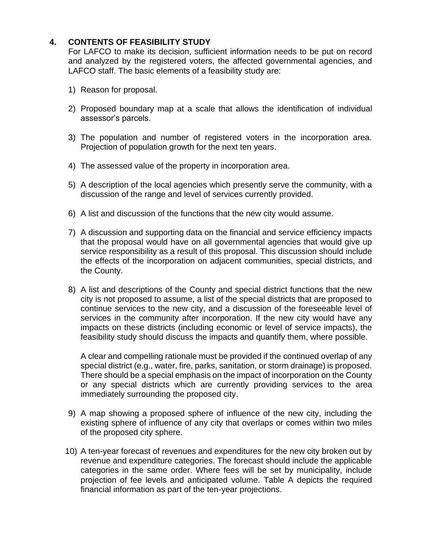# **4. CONTENTS OF FEASIBILITY STUDY**

For LAFCO to make its decision, sufficient information needs to be put on record and analyzed by the registered voters, the affected governmental agencies, and LAFCO staff. The basic elements of a feasibility study are:

- 1) Reason for proposal.
- 2) Proposed boundary map at a scale that allows the identification of individual assessor's parcels.
- 3) The population and number of registered voters in the incorporation area. Projection of population growth for the next ten years.
- 4) The assessed value of the property in incorporation area.
- 5) A description of the local agencies which presently serve the community, with a discussion of the range and level of services currently provided.
- 6) A list and discussion of the functions that the new city would assume.
- 7) A discussion and supporting data on the financial and service efficiency impacts that the proposal would have on all governmental agencies that would give up service responsibility as a result of this proposal. This discussion should include the effects of the incorporation on adjacent communities, special districts, and the County.
- 8) A list and descriptions of the County and special district functions that the new city is not proposed to assume, a list of the special districts that are proposed to continue services to the new city, and a discussion of the foreseeable level of services in the community after incorporation. If the new city would have any impacts on these districts (including economic or level of service impacts), the feasibility study should discuss the impacts and quantify them, where possible.

A clear and compelling rationale must be provided if the continued overlap of any special district (e.g., water, fire, parks, sanitation, or storm drainage) is proposed. There should be a special emphasis on the impact of incorporation on the County or any special districts which are currently providing services to the area immediately surrounding the proposed city.

- 9) A map showing a proposed sphere of influence of the new city, including the existing sphere of influence of any city that overlaps or comes within two miles of the proposed city sphere.
- 10) A ten-year forecast of revenues and expenditures for the new city broken out by revenue and expenditure categories. The forecast should include the applicable categories in the same order. Where fees will be set by municipality, include projection of fee levels and anticipated volume. Table A depicts the required financial information as part of the ten-year projections.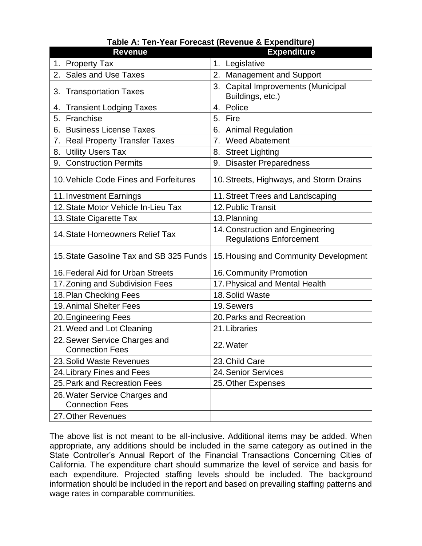| <b>Revenue</b>                                          | <b>Expenditure</b>                                                 |
|---------------------------------------------------------|--------------------------------------------------------------------|
| 1. Property Tax                                         | 1. Legislative                                                     |
| <b>Sales and Use Taxes</b><br>2.                        | 2.<br><b>Management and Support</b>                                |
| 3. Transportation Taxes                                 | <b>Capital Improvements (Municipal</b><br>3.<br>Buildings, etc.)   |
| <b>Transient Lodging Taxes</b><br>4.                    | Police<br>4.                                                       |
| Franchise<br>5.                                         | 5. Fire                                                            |
| <b>Business License Taxes</b><br>6.                     | 6.<br><b>Animal Regulation</b>                                     |
| <b>Real Property Transfer Taxes</b><br>7.               | <b>Weed Abatement</b><br>7.                                        |
| <b>Utility Users Tax</b><br>8.                          | 8. Street Lighting                                                 |
| <b>Construction Permits</b><br>9.                       | <b>Disaster Preparedness</b><br>9.                                 |
| 10. Vehicle Code Fines and Forfeitures                  | 10. Streets, Highways, and Storm Drains                            |
| 11. Investment Earnings                                 | 11. Street Trees and Landscaping                                   |
| 12. State Motor Vehicle In-Lieu Tax                     | 12. Public Transit                                                 |
| 13. State Cigarette Tax                                 | 13. Planning                                                       |
| 14. State Homeowners Relief Tax                         | 14. Construction and Engineering<br><b>Regulations Enforcement</b> |
| 15. State Gasoline Tax and SB 325 Funds                 | 15. Housing and Community Development                              |
| 16. Federal Aid for Urban Streets                       | 16. Community Promotion                                            |
| 17. Zoning and Subdivision Fees                         | 17. Physical and Mental Health                                     |
| 18. Plan Checking Fees                                  | 18. Solid Waste                                                    |
| <b>19. Animal Shelter Fees</b>                          | 19. Sewers                                                         |
| 20. Engineering Fees                                    | 20. Parks and Recreation                                           |
| 21. Weed and Lot Cleaning                               | 21. Libraries                                                      |
| 22. Sewer Service Charges and<br><b>Connection Fees</b> | 22. Water                                                          |
| 23. Solid Waste Revenues                                | 23. Child Care                                                     |
| 24. Library Fines and Fees                              | 24. Senior Services                                                |
| 25. Park and Recreation Fees                            | 25. Other Expenses                                                 |
| 26. Water Service Charges and<br><b>Connection Fees</b> |                                                                    |
| 27. Other Revenues                                      |                                                                    |

# **Table A: Ten-Year Forecast (Revenue & Expenditure)**

The above list is not meant to be all-inclusive. Additional items may be added. When appropriate, any additions should be included in the same category as outlined in the State Controller's Annual Report of the Financial Transactions Concerning Cities of California. The expenditure chart should summarize the level of service and basis for each expenditure. Projected staffing levels should be included. The background information should be included in the report and based on prevailing staffing patterns and wage rates in comparable communities.